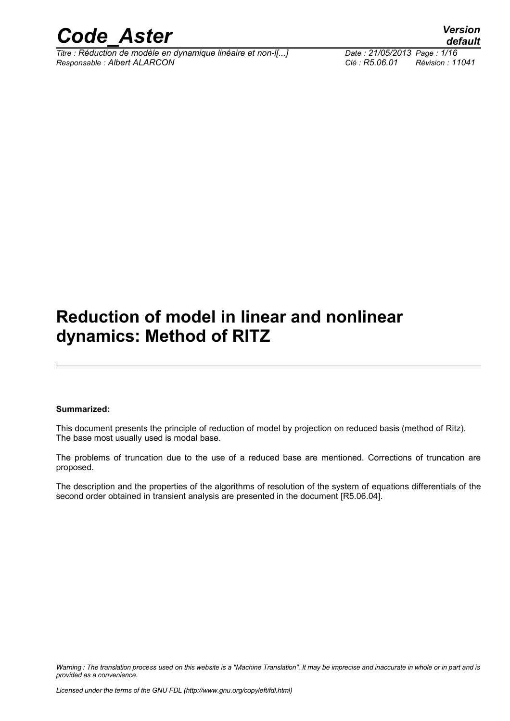

*Titre : Réduction de modèle en dynamique linéaire et non-l[...] Date : 21/05/2013 Page : 1/16 Responsable : Albert ALARCON Clé : R5.06.01 Révision : 11041*

*default*

### **Reduction of model in linear and nonlinear dynamics: Method of RITZ**

#### **Summarized:**

This document presents the principle of reduction of model by projection on reduced basis (method of Ritz). The base most usually used is modal base.

The problems of truncation due to the use of a reduced base are mentioned. Corrections of truncation are proposed.

The description and the properties of the algorithms of resolution of the system of equations differentials of the second order obtained in transient analysis are presented in the document [R5.06.04].

*Warning : The translation process used on this website is a "Machine Translation". It may be imprecise and inaccurate in whole or in part and is provided as a convenience.*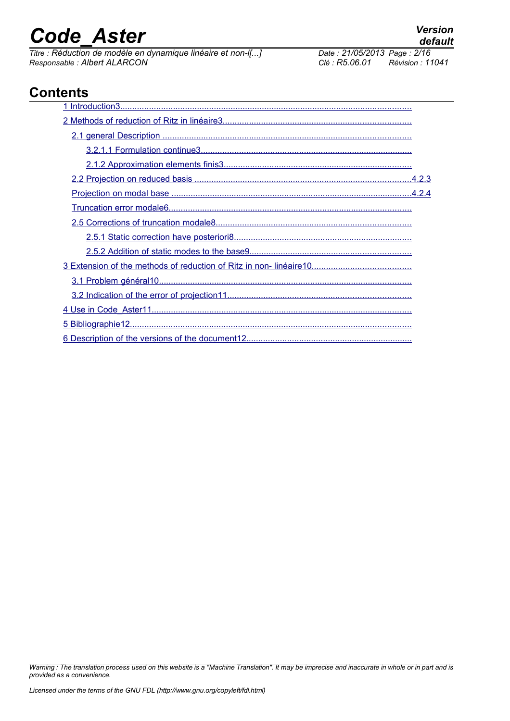*Titre : Réduction de modèle en dynamique linéaire et non-l[...] Date : 21/05/2013 Page : 2/16 Responsable : Albert ALARCON Clé : R5.06.01 Révision : 11041*

### **Contents**

*Warning : The translation process used on this website is a "Machine Translation". It may be imprecise and inaccurate in whole or in part and is provided as a convenience.*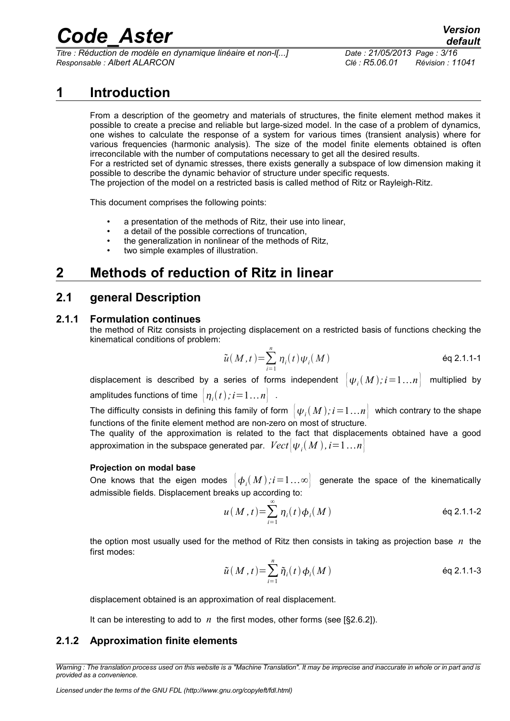*Titre : Réduction de modèle en dynamique linéaire et non-l[...] Date : 21/05/2013 Page : 3/16 Responsable : Albert ALARCON Clé : R5.06.01 Révision : 11041*

*default*

### **1 Introduction**

<span id="page-2-0"></span>From a description of the geometry and materials of structures, the finite element method makes it possible to create a precise and reliable but large-sized model. In the case of a problem of dynamics, one wishes to calculate the response of a system for various times (transient analysis) where for various frequencies (harmonic analysis). The size of the model finite elements obtained is often irreconcilable with the number of computations necessary to get all the desired results. For a restricted set of dynamic stresses, there exists generally a subspace of low dimension making it possible to describe the dynamic behavior of structure under specific requests. The projection of the model on a restricted basis is called method of Ritz or Rayleigh-Ritz.

This document comprises the following points:

- a presentation of the methods of Ritz, their use into linear,
- a detail of the possible corrections of truncation,
- the generalization in nonlinear of the methods of Ritz,
- <span id="page-2-4"></span>two simple examples of illustration.

### **2 Methods of reduction of Ritz in linear**

### <span id="page-2-3"></span>**2.1 general Description**

#### **2.1.1 Formulation continues**

<span id="page-2-2"></span>the method of Ritz consists in projecting displacement on a restricted basis of functions checking the kinematical conditions of problem:

$$
\tilde{u}(M,t) = \sum_{i=1}^{n} \eta_i(t) \psi_i(M)
$$
éq 2.1.1-1

displacement is described by a series of forms independent  $\big\vert \psi_i(M); i \! = \! 1...n \big\vert$  multiplied by amplitudes functions of time  $\big\lvert \eta_i(t)$  ;  $i{=}1\ldots n\big\rvert$  .

The difficulty consists in defining this family of form  $\big\vert \psi_i(M)$ ;  $i\!=\!1...n\big\vert$  which contrary to the shape functions of the finite element method are non-zero on most of structure.

The quality of the approximation is related to the fact that displacements obtained have a good approximation in the subspace generated par.  $\mathit{Vect}[\psi_{i}(M)$  ,  $i{=}1\ldots{}n]$ 

#### **Projection on modal base**

One knows that the eigen modes  $\big|\,\boldsymbol{\phi}_i(M)\,;i\!=\!1\ldots\infty\big|$  generate the space of the kinematically admissible fields. Displacement breaks up according to:

$$
u(M,t) = \sum_{i=1}^{\infty} \eta_i(t) \phi_i(M)
$$
éq 2.1.1-2

the option most usually used for the method of Ritz then consists in taking as projection base *n* the first modes:

$$
\tilde{u}(M,t) = \sum_{i=1}^{n} \tilde{\eta}_i(t) \phi_i(M)
$$
éq 2.1.1-3

displacement obtained is an approximation of real displacement.

<span id="page-2-1"></span>It can be interesting to add to *n* the first modes, other forms (see [§2.6.2]).

#### **2.1.2 Approximation finite elements**

*Warning : The translation process used on this website is a "Machine Translation". It may be imprecise and inaccurate in whole or in part and is provided as a convenience.*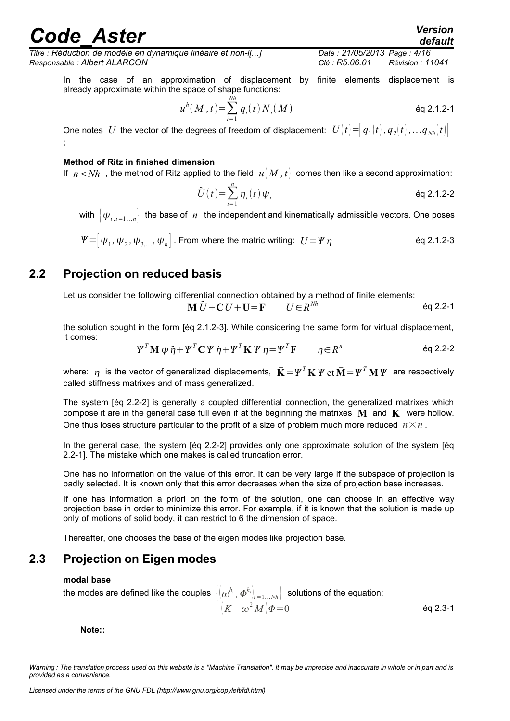*Titre : Réduction de modèle en dynamique linéaire et non-l[...] Date : 21/05/2013 Page : 4/16 Responsable : Albert ALARCON Clé : R5.06.01 Révision : 11041*

In the case of an approximation of displacement by finite elements displacement is already approximate within the space of shape functions:

$$
u^{h}(M,t) = \sum_{i=1}^{Nh} q_{i}(t) N_{i}(M)
$$
éq 2.1.2-1

One notes *U* the vector of the degrees of freedom of displacement:  $U(t) = [q_1(t), q_2(t), \ldots, q_{N_h}(t)]$ ;

#### **Method of Ritz in finished dimension**

If  $n < Nh$ , the method of Ritz applied to the field  $u(M, t)$  comes then like a second approximation:

$$
\tilde{U}(t) = \sum_{i=1}^{n} \eta_i(t) \psi_i
$$

with  $|\psi_{i,i=1...n}|$  the base of *n* the independent and kinematically admissible vectors. One poses

=[ <sup>1</sup> *,*<sup>2</sup> *,*3, *,<sup>n</sup>* ] . From where the matric writing: *U*= éq 2.1.2-3

### **2.2 Projection on reduced basis**

<span id="page-3-1"></span>Let us consider the following differential connection obtained by a method of finite elements:

$$
\mathbf{M}\ddot{U} + \mathbf{C}\dot{U} + \mathbf{U} = \mathbf{F} \qquad U \in \mathbb{R}^{Nh} \qquad \text{Eq 2.2-1}
$$

the solution sought in the form [éq 2.1.2-3]. While considering the same form for virtual displacement, it comes:

$$
\Psi^T \mathbf{M} \psi \ddot{\eta} + \Psi^T \mathbf{C} \Psi \dot{\eta} + \Psi^T \mathbf{K} \Psi \eta = \Psi^T \mathbf{F} \qquad \eta \in R^n \qquad \text{Eq 2.2-2}
$$

where:  $\bm{\eta}$  is the vector of generalized displacements,  $\bar{\mathbf{K}} \!=\! \bm{\varPsi}^T\mathbf{K}\,\bm{\varPsi}$  et  $\bar{\mathbf{M}} \!=\! \bm{\varPsi}^T\mathbf{M}\,\bm{\varPsi}$  are respectively called stiffness matrixes and of mass generalized.

The system [éq 2.2-2] is generally a coupled differential connection, the generalized matrixes which compose it are in the general case full even if at the beginning the matrixes  $M$  and  $K$  were hollow. One thus loses structure particular to the profit of a size of problem much more reduced  $n \times n$ .

In the general case, the system [éq 2.2-2] provides only one approximate solution of the system [éq 2.2-1]. The mistake which one makes is called truncation error.

One has no information on the value of this error. It can be very large if the subspace of projection is badly selected. It is known only that this error decreases when the size of projection base increases.

If one has information a priori on the form of the solution, one can choose in an effective way projection base in order to minimize this error. For example, if it is known that the solution is made up only of motions of solid body, it can restrict to 6 the dimension of space.

<span id="page-3-0"></span>Thereafter, one chooses the base of the eigen modes like projection base.

### **2.3 Projection on Eigen modes**

#### **modal base**

the modes are defined like the couples  $\big|(\omega^{h_i},\varPhi^{h_i})_{i=1...Nh}\big|$  solutions of the equation:  $(K - \omega^2 M)\Phi = 0$  éq 2.3-1

**Note::** 

*Warning : The translation process used on this website is a "Machine Translation". It may be imprecise and inaccurate in whole or in part and is provided as a convenience.*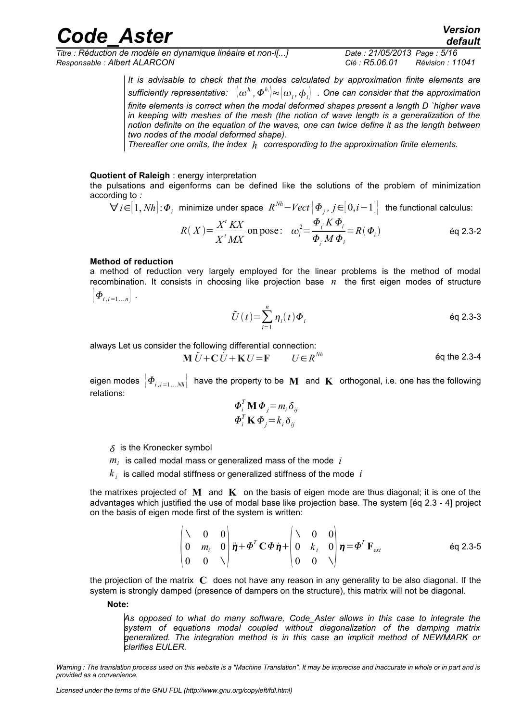*Titre : Réduction de modèle en dynamique linéaire et non-l[...] Date : 21/05/2013 Page : 5/16 Responsable : Albert ALARCON Clé : R5.06.01 Révision : 11041*

*It is advisable to check that the modes calculated by approximation finite elements are sufficiently representative: hi , hi* ≈*<sup>i</sup> ,i . One can consider that the approximation finite elements is correct when the modal deformed shapes present a length D `higher wave in keeping with meshes of the mesh (the notion of wave length is a generalization of the notion definite on the equation of the waves, one can twice define it as the length between two nodes of the modal deformed shape).*

*Thereafter one omits, the index h corresponding to the approximation finite elements.* 

#### **Quotient of Raleigh** : energy interpretation

the pulsations and eigenforms can be defined like the solutions of the problem of minimization according to *:*

$$
\forall i \in [1, Nh]: \Phi_i \text{ minimize under space } R^{Nh} - Vect \Big[\Phi_j, j \in [0,i-1]\Big] \text{ the functional calculus:}
$$

$$
R(X) = \frac{X^t K X}{X^t M X} \text{ on pose:} \quad \omega_i^2 = \frac{\Phi_i^t K \Phi_i}{\Phi_i^t M \Phi_i} = R(\Phi_i) \tag{4.3-2}
$$

#### **Method of reduction**

a method of reduction very largely employed for the linear problems is the method of modal recombination. It consists in choosing like projection base  $n$  the first eigen modes of structure  $\Phi_{i,i=1...n}$  .

$$
\tilde{U}(t) = \sum_{i=1}^{n} \eta_i(t) \Phi_i
$$

always Let us consider the following differential connection:

$$
\mathbf{M}\ddot{U} + \mathbf{C}\dot{U} + \mathbf{K}U = \mathbf{F} \qquad U \in \mathbb{R}^{Nh} \qquad \qquad \text{Eq the 2.3-4}
$$

eigen modes  $\left|\Phi_{i,i=1...Nh}\right|$  have the property to be **M** and **K** orthogonal, i.e. one has the following relations:

$$
\Phi_i^T \mathbf{M} \Phi_j = m_i \delta_{ij}
$$
  

$$
\Phi_i^T \mathbf{K} \Phi_j = k_i \delta_{ij}
$$

- $\delta$  is the Kronecker symbol
- $m_i$  is called modal mass or generalized mass of the mode  $|i\rangle$
- $\overline{k}_i$  is called modal stiffness or generalized stiffness of the mode  $\overline{i}$

the matrixes projected of **M** and **K** on the basis of eigen mode are thus diagonal; it is one of the advantages which justified the use of modal base like projection base. The system [éq 2.3 - 4] project on the basis of eigen mode first of the system is written:

$$
\begin{pmatrix}\n\lambda & 0 & 0 \\
0 & m_i & 0 \\
0 & 0 & \lambda\n\end{pmatrix}\n\vec{\eta} + \Phi^T \mathbf{C} \Phi \dot{\eta} + \begin{pmatrix}\n\lambda & 0 & 0 \\
0 & k_i & 0 \\
0 & 0 & \lambda\n\end{pmatrix}\n\eta = \Phi^T \mathbf{F}_{ext}
$$
 eq 2.3-5

the projection of the matrix **C** does not have any reason in any generality to be also diagonal. If the system is strongly damped (presence of dampers on the structure), this matrix will not be diagonal.

**Note:**

*As opposed to what do many software, Code\_Aster allows in this case to integrate the system of equations modal coupled without diagonalization of the damping matrix generalized. The integration method is in this case an implicit method of NEWMARK or clarifies EULER.*

*Licensed under the terms of the GNU FDL (http://www.gnu.org/copyleft/fdl.html)*

*Warning : The translation process used on this website is a "Machine Translation". It may be imprecise and inaccurate in whole or in part and is provided as a convenience.*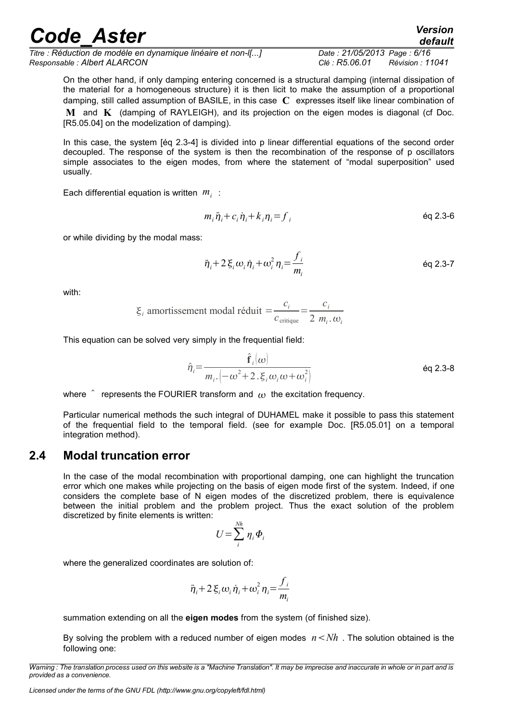*Titre : Réduction de modèle en dynamique linéaire et non-l[...] Date : 21/05/2013 Page : 6/16 Responsable : Albert ALARCON Clé : R5.06.01 Révision : 11041*

On the other hand, if only damping entering concerned is a structural damping (internal dissipation of the material for a homogeneous structure) it is then licit to make the assumption of a proportional damping, still called assumption of BASILE, in this case **C** expresses itself like linear combination of **M** and **K** (damping of RAYLEIGH), and its projection on the eigen modes is diagonal (cf Doc. [R5.05.04] on the modelization of damping).

In this case, the system [éq 2.3-4] is divided into p linear differential equations of the second order decoupled. The response of the system is then the recombination of the response of p oscillators simple associates to the eigen modes, from where the statement of "modal superposition" used usually.

Each differential equation is written *m<sup>i</sup>* :

$$
m_i \ddot{\eta}_i + c_i \dot{\eta}_i + k_i \eta_i = f_i \tag{eq 2.3-6}
$$

or while dividing by the modal mass:

$$
\ddot{\eta}_i + 2 \xi_i \omega_i \dot{\eta}_i + \omega_i^2 \eta_i = \frac{f_i}{m_i}
$$

with:

$$
\xi_i
$$
amortissement modal réduit  $=\frac{c_i}{c_{\text{critique}}} = \frac{c_i}{2 m_i \cdot \omega_i}$ 

This equation can be solved very simply in the frequential field:

$$
\hat{\eta}_i = \frac{\hat{\mathbf{f}}_i(\omega)}{m_{i \cdot}(-\omega^2 + 2 \cdot \xi_i \omega_i \omega + \omega_i^2)}
$$

where  $\hat{ }$  represents the FOURIER transform and  $\omega$  the excitation frequency.

Particular numerical methods the such integral of DUHAMEL make it possible to pass this statement of the frequential field to the temporal field. (see for example Doc. [R5.05.01] on a temporal integration method).

#### **2.4 Modal truncation error**

<span id="page-5-0"></span>In the case of the modal recombination with proportional damping, one can highlight the truncation error which one makes while projecting on the basis of eigen mode first of the system. Indeed, if one considers the complete base of N eigen modes of the discretized problem, there is equivalence between the initial problem and the problem project. Thus the exact solution of the problem discretized by finite elements is written:

$$
U = \sum_{i}^{Nh} \eta_i \Phi_i
$$

where the generalized coordinates are solution of:

$$
\ddot{\eta}_i + 2 \xi_i \omega_i \dot{\eta}_i + \omega_i^2 \eta_i = \frac{f_i}{m_i}
$$

summation extending on all the **eigen modes** from the system (of finished size).

By solving the problem with a reduced number of eigen modes  $n < Nh$ . The solution obtained is the following one:

*Warning : The translation process used on this website is a "Machine Translation". It may be imprecise and inaccurate in whole or in part and is provided as a convenience.*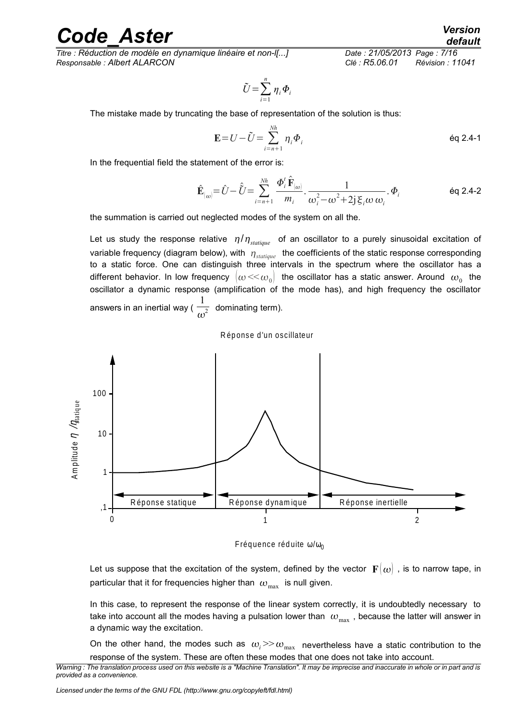*Titre : Réduction de modèle en dynamique linéaire et non-l[...] Date : 21/05/2013 Page : 7/16 Responsable : Albert ALARCON Clé : R5.06.01 Révision : 11041*

$$
\tilde{U} = \sum_{i=1}^n \eta_i \Phi_i
$$

The mistake made by truncating the base of representation of the solution is thus:

$$
\mathbf{E} = U - \tilde{U} = \sum_{i=n+1}^{Nh} \eta_i \Phi_i
$$

In the frequential field the statement of the error is:

$$
\hat{\mathbf{E}}_{\left(\omega\right)} = \hat{U} - \hat{\hat{U}} = \sum_{i=n+1}^{Nh} \frac{\boldsymbol{\Phi}_i^t \hat{\mathbf{F}}_{\left(\omega\right)}}{m_i} \cdot \frac{1}{\omega_i^2 - \omega^2 + 2j \xi_i \omega \omega_i} \cdot \boldsymbol{\Phi}_i
$$

the summation is carried out neglected modes of the system on all the.

Let us study the response relative  $\eta/\eta_{stature}$  of an oscillator to a purely sinusoidal excitation of variable frequency (diagram below), with  $\eta_{statane}$  the coefficients of the static response corresponding to a static force. One can distinguish three intervals in the spectrum where the oscillator has a different behavior. In low frequency  $\,|\omega\!<\!\!<\!\omega_{_0}\!|\,$  the oscillator has a static answer. Around  $\,\omega_{_0}\,$  the oscillator a dynamic response (amplification of the mode has), and high frequency the oscillator answers in an inertial way (  $\frac{1}{\sqrt{2}}$  $\overline{\omega^2}$  dominating term).





Fréquence réduite  $\omega/\omega_0$ 

Let us suppose that the excitation of the system, defined by the vector  $\mathbf{F}(\omega)$  , is to narrow tape, in particular that it for frequencies higher than  $\omega_{\text{max}}$  is null given.

In this case, to represent the response of the linear system correctly, it is undoubtedly necessary to take into account all the modes having a pulsation lower than  $\omega_{\text{max}}$ , because the latter will answer in a dynamic way the excitation.

On the other hand, the modes such as  $\omega_i$   $> \omega_{\text{max}}$  nevertheless have a static contribution to the response of the system. These are often these modes that one does not take into account.

*Warning : The translation process used on this website is a "Machine Translation". It may be imprecise and inaccurate in whole or in part and is provided as a convenience.*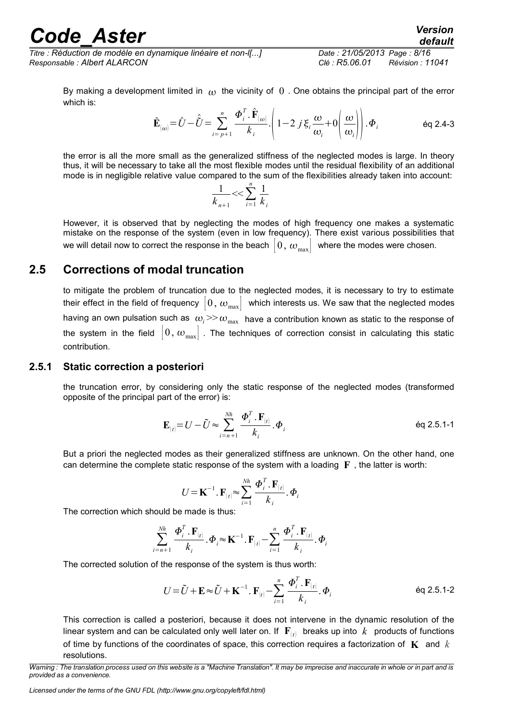*Titre : Réduction de modèle en dynamique linéaire et non-l[...] Date : 21/05/2013 Page : 8/16 Responsable : Albert ALARCON Clé : R5.06.01 Révision : 11041*

*default*

By making a development limited in  $\omega$  the vicinity of 0. One obtains the principal part of the error which is:

$$
\hat{\mathbf{E}}_{\left(\omega\right)} = \hat{U} - \hat{\hat{U}} = \sum_{i=p+1}^{n} \frac{\boldsymbol{\Phi}_{i}^{T} \cdot \hat{\mathbf{F}}_{\left(\omega\right)}}{k_{i}} \cdot \left(1 - 2 j \xi_{i} \frac{\omega}{\omega_{i}} + 0 \left(\frac{\omega}{\omega_{i}}\right)\right) \cdot \boldsymbol{\Phi}_{i} \tag{6q 2.4-3}
$$

the error is all the more small as the generalized stiffness of the neglected modes is large. In theory thus, it will be necessary to take all the most flexible modes until the residual flexibility of an additional mode is in negligible relative value compared to the sum of the flexibilities already taken into account:

$$
\frac{1}{k_{n+1}} < < \sum_{i=1}^{n} \frac{1}{k_i}
$$

However, it is observed that by neglecting the modes of high frequency one makes a systematic mistake on the response of the system (even in low frequency). There exist various possibilities that we will detail now to correct the response in the beach  $[0, \omega_{\text{max}}]$  where the modes were chosen.

### **2.5 Corrections of modal truncation**

<span id="page-7-1"></span>to mitigate the problem of truncation due to the neglected modes, it is necessary to try to estimate their effect in the field of frequency  $|0, \omega_{\text{max}}|$  which interests us. We saw that the neglected modes having an own pulsation such as  $\omega_i$   $>>$   $\omega_{\text{max}}$  have a contribution known as static to the response of the system in the field  $\begin{bmatrix} 0 & \omega_{\text{max}} \end{bmatrix}$ . The techniques of correction consist in calculating this static contribution.

#### **2.5.1 Static correction a posteriori**

<span id="page-7-0"></span>the truncation error, by considering only the static response of the neglected modes (transformed opposite of the principal part of the error) is:

$$
\mathbf{E}_{(t)} = U - \tilde{U} \approx \sum_{i=n+1}^{Nh} \frac{\Phi_i^T \cdot \mathbf{F}_{(t)}}{k_i} \cdot \Phi_i
$$

But a priori the neglected modes as their generalized stiffness are unknown. On the other hand, one can determine the complete static response of the system with a loading **F** , the latter is worth:

$$
U = \mathbf{K}^{-1} \cdot \mathbf{F}_{(t)} \approx \sum_{i=1}^{Nh} \frac{\boldsymbol{\Phi}_i^T \cdot \mathbf{F}_{(t)}}{k_i} \cdot \boldsymbol{\Phi}_i
$$

The correction which should be made is thus:

$$
\sum_{i=n+1}^{Nh} \frac{\boldsymbol{\Phi}_i^T . \mathbf{F}_{[t]}}{k_i} . \boldsymbol{\Phi}_i \approx \mathbf{K}^{-1} . \mathbf{F}_{[t]} - \sum_{i=1}^n \frac{\boldsymbol{\Phi}_i^T . \mathbf{F}_{[t]}}{k_i} . \boldsymbol{\Phi}_i
$$

The corrected solution of the response of the system is thus worth:

$$
U = \tilde{U} + \mathbf{E} \approx \tilde{U} + \mathbf{K}^{-1} \cdot \mathbf{F}_{(t)} - \sum_{i=1}^{n} \frac{\boldsymbol{\Phi}_{i}^{T} \cdot \mathbf{F}_{(t)}}{k_{i}} \cdot \boldsymbol{\Phi}_{i}
$$
 eq 2.5.1-2

This correction is called a posteriori, because it does not intervene in the dynamic resolution of the linear system and can be calculated only well later on. If  $\mathbf{F}_{(t)}$  breaks up into  $|k|$  products of functions of time by functions of the coordinates of space, this correction requires a factorization of **K** and *k* resolutions.

*Warning : The translation process used on this website is a "Machine Translation". It may be imprecise and inaccurate in whole or in part and is provided as a convenience.*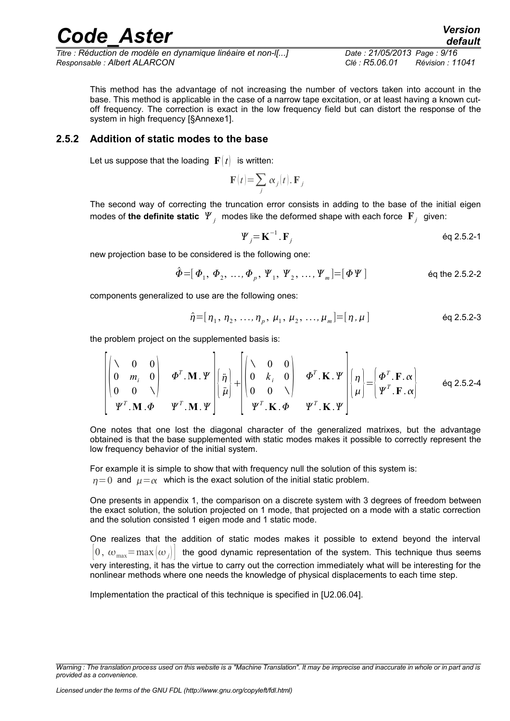*Titre : Réduction de modèle en dynamique linéaire et non-l[...] Date : 21/05/2013 Page : 9/16 Responsable : Albert ALARCON Clé : R5.06.01 Révision : 11041*

This method has the advantage of not increasing the number of vectors taken into account in the base. This method is applicable in the case of a narrow tape excitation, or at least having a known cutoff frequency. The correction is exact in the low frequency field but can distort the response of the system in high frequency [§Annexe1].

#### **2.5.2 Addition of static modes to the base**

<span id="page-8-0"></span>Let us suppose that the loading  $\mathbf{F}(t)$  is written:

$$
\mathbf{F}(t) = \sum_j \alpha_j(t). \mathbf{F}_j
$$

The second way of correcting the truncation error consists in adding to the base of the initial eigen modes of **the definite static**  $\mathbf{\Psi}_j$  modes like the deformed shape with each force  $\mathbf{F}_j$  given:

$$
\Psi_j = \mathbf{K}^{-1} \cdot \mathbf{F}_j \tag{6q 2.5.2-1}
$$

new projection base to be considered is the following one:

$$
\hat{\Phi} = [\Phi_1, \Phi_2, ..., \Phi_p, \Psi_1, \Psi_2, ..., \Psi_m] = [\Phi \Psi]
$$
 eq the 2.5.2-2

components generalized to use are the following ones:

$$
\hat{\eta} = [\eta_1, \eta_2, \dots, \eta_p, \mu_1, \mu_2, \dots, \mu_m] = [\eta, \mu]
$$

the problem project on the supplemented basis is:

$$
\begin{bmatrix}\n\lambda & 0 & 0 \\
0 & m_i & 0 \\
0 & 0 & \lambda\n\end{bmatrix}\n\boldsymbol{\Phi}^T \cdot \mathbf{M} \cdot \boldsymbol{\Psi}\n\begin{bmatrix}\n\ddot{\eta} \\
\ddot{\mu}\n\end{bmatrix} + \n\begin{bmatrix}\n\lambda & 0 & 0 \\
0 & k_i & 0 \\
0 & 0 & \lambda\n\end{bmatrix}\n\boldsymbol{\Phi}^T \cdot \mathbf{K} \cdot \boldsymbol{\Psi}\n\begin{bmatrix}\n\eta \\
\mu\n\end{bmatrix} = \n\begin{bmatrix}\n\boldsymbol{\Phi}^T \cdot \mathbf{F} \cdot \boldsymbol{\alpha} \\
\boldsymbol{\Psi}^T \cdot \mathbf{F} \cdot \boldsymbol{\alpha}\n\end{bmatrix}\n\quad \text{eq 2.5.2-4}
$$

One notes that one lost the diagonal character of the generalized matrixes, but the advantage obtained is that the base supplemented with static modes makes it possible to correctly represent the low frequency behavior of the initial system.

For example it is simple to show that with frequency null the solution of this system is:  $n=0$  and  $\mu = \alpha$  which is the exact solution of the initial static problem.

One presents in appendix 1, the comparison on a discrete system with 3 degrees of freedom between the exact solution, the solution projected on 1 mode, that projected on a mode with a static correction and the solution consisted 1 eigen mode and 1 static mode.

One realizes that the addition of static modes makes it possible to extend beyond the interval  $[0, \omega_{\text{max}}=max |\omega_i|]$  the good dynamic representation of the system. This technique thus seems very interesting, it has the virtue to carry out the correction immediately what will be interesting for the nonlinear methods where one needs the knowledge of physical displacements to each time step.

Implementation the practical of this technique is specified in [U2.06.04].

*Warning : The translation process used on this website is a "Machine Translation". It may be imprecise and inaccurate in whole or in part and is provided as a convenience.*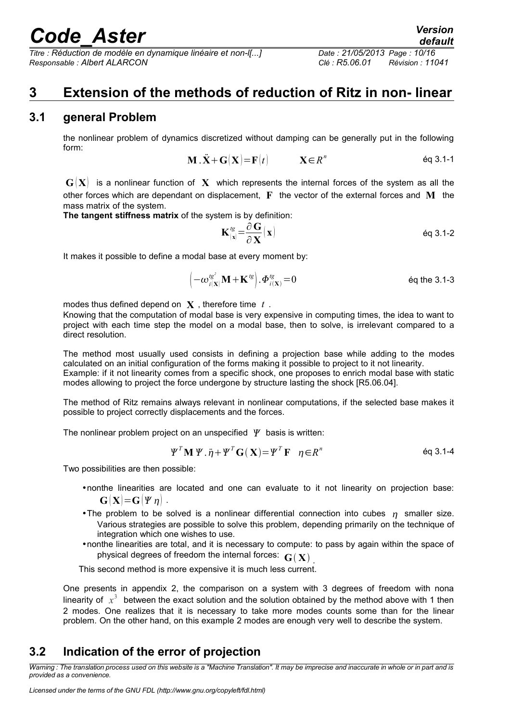*Titre : Réduction de modèle en dynamique linéaire et non-l[...] Date : 21/05/2013 Page : 10/16 Responsable : Albert ALARCON Clé : R5.06.01 Révision : 11041*

### <span id="page-9-2"></span>**3 Extension of the methods of reduction of Ritz in non- linear**

### **3.1 general Problem**

<span id="page-9-1"></span>the nonlinear problem of dynamics discretized without damping can be generally put in the following form:

$$
\mathbf{M} \cdot \ddot{\mathbf{X}} + \mathbf{G}(\mathbf{X}) = \mathbf{F}(t) \qquad \mathbf{X} \in \mathbb{R}^n \qquad \text{Eq 3.1-1}
$$

 $\mathbf{G}(\mathbf{X})$  is a nonlinear function of X which represents the internal forces of the system as all the other forces which are dependant on displacement, **F** the vector of the external forces and **M** the mass matrix of the system.

**The tangent stiffness matrix** of the system is by definition:

$$
\mathbf{K}_{|\mathbf{x}|}^{tg} = \frac{\partial \mathbf{G}}{\partial \mathbf{X}}(\mathbf{x})
$$

It makes it possible to define a modal base at every moment by:

$$
\left(-\omega_{i(\mathbf{X})}^{\prime g^2}\mathbf{M} + \mathbf{K}^{\prime g}\right).\Phi_{i(\mathbf{X})}^{\prime g} = 0
$$
 eq the 3.1-3

modes thus defined depend on **X** , therefore time *t* .

Knowing that the computation of modal base is very expensive in computing times, the idea to want to project with each time step the model on a modal base, then to solve, is irrelevant compared to a direct resolution.

The method most usually used consists in defining a projection base while adding to the modes calculated on an initial configuration of the forms making it possible to project to it not linearity. Example: if it not linearity comes from a specific shock, one proposes to enrich modal base with static modes allowing to project the force undergone by structure lasting the shock [R5.06.04].

The method of Ritz remains always relevant in nonlinear computations, if the selected base makes it possible to project correctly displacements and the forces.

The nonlinear problem project on an unspecified  $\psi$  basis is written:

$$
\Psi^T \mathbf{M} \Psi . \ddot{\eta} + \Psi^T \mathbf{G}(\mathbf{X}) = \Psi^T \mathbf{F} \quad \eta \in \mathbb{R}^n \tag{6q 3.1-4}
$$

Two possibilities are then possible:

- •nonthe linearities are located and one can evaluate to it not linearity on projection base:  $G[X]=G[\Psi \eta]$ .
- •The problem to be solved is a nonlinear differential connection into cubes  $n$  smaller size. Various strategies are possible to solve this problem, depending primarily on the technique of integration which one wishes to use.
- •nonthe linearities are total, and it is necessary to compute: to pass by again within the space of physical degrees of freedom the internal forces:  $\mathbf{G}(\mathbf{X})$  <sub>.</sub>

This second method is more expensive it is much less current.

One presents in appendix 2, the comparison on a system with 3 degrees of freedom with nona linearity of  $x^3$  between the exact solution and the solution obtained by the method above with 1 then 2 modes. One realizes that it is necessary to take more modes counts some than for the linear problem. On the other hand, on this example 2 modes are enough very well to describe the system.

### <span id="page-9-0"></span>**3.2 Indication of the error of projection**

*Warning : The translation process used on this website is a "Machine Translation". It may be imprecise and inaccurate in whole or in part and is provided as a convenience.*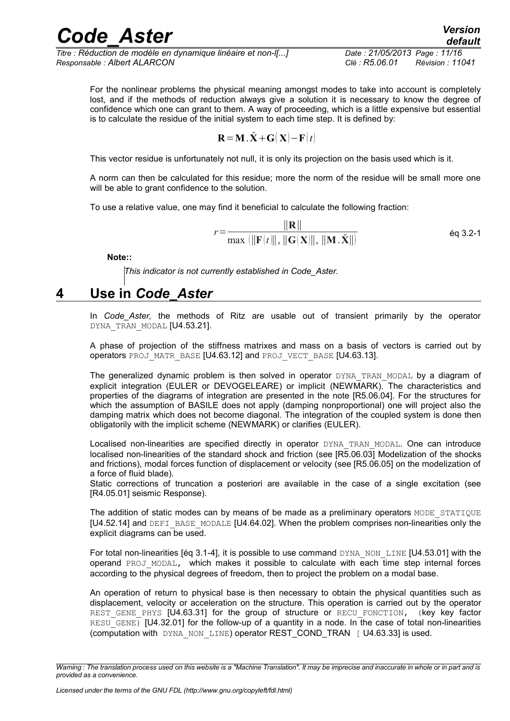*Titre : Réduction de modèle en dynamique linéaire et non-l[...] Date : 21/05/2013 Page : 11/16 Responsable : Albert ALARCON Clé : R5.06.01 Révision : 11041*

For the nonlinear problems the physical meaning amongst modes to take into account is completely lost, and if the methods of reduction always give a solution it is necessary to know the degree of confidence which one can grant to them. A way of proceeding, which is a little expensive but essential is to calculate the residue of the initial system to each time step. It is defined by:

$$
\mathbf{R} = \mathbf{M} \cdot \ddot{\mathbf{X}} + \mathbf{G}(\mathbf{X}) - \mathbf{F}(t)
$$

This vector residue is unfortunately not null, it is only its projection on the basis used which is it.

A norm can then be calculated for this residue; more the norm of the residue will be small more one will be able to grant confidence to the solution.

To use a relative value, one may find it beneficial to calculate the following fraction:

$$
r = \frac{\|\mathbf{R}\|}{\max (\|\mathbf{F}(t)\|, \|\mathbf{G}(\mathbf{X})\|, \|\mathbf{M} \cdot \ddot{\mathbf{X}}\|)}
$$
éq 3.2-1

**Note::**

*This indicator is not currently established in Code\_Aster.*

### **4 Use in** *Code\_Aster*

<span id="page-10-0"></span>In *Code\_Aster,* the methods of Ritz are usable out of transient primarily by the operator DYNA TRAN MODAL [U4.53.21].

A phase of projection of the stiffness matrixes and mass on a basis of vectors is carried out by operators PROJ\_MATR\_BASE [U4.63.12] and PROJ\_VECT\_BASE [U4.63.13].

The generalized dynamic problem is then solved in operator DYNA TRAN MODAL by a diagram of explicit integration (EULER or DEVOGELEARE) or implicit (NEWMARK). The characteristics and properties of the diagrams of integration are presented in the note [R5.06.04]. For the structures for which the assumption of BASILE does not apply (damping nonproportional) one will project also the damping matrix which does not become diagonal. The integration of the coupled system is done then obligatorily with the implicit scheme (NEWMARK) or clarifies (EULER).

Localised non-linearities are specified directly in operator DYNA TRAN MODAL. One can introduce localised non-linearities of the standard shock and friction (see [R5.06.03] Modelization of the shocks and frictions), modal forces function of displacement or velocity (see [R5.06.05] on the modelization of a force of fluid blade).

Static corrections of truncation a posteriori are available in the case of a single excitation (see [R4.05.01] seismic Response).

The addition of static modes can by means of be made as a preliminary operators MODE STATIQUE [U4.52.14] and DEFI\_BASE\_MODALE [U4.64.02]. When the problem comprises non-linearities only the explicit diagrams can be used.

For total non-linearities [eq 3.1-4], it is possible to use command  $DYNA$ ,  $NON$  LINE [U4.53.01] with the operand PROJ MODAL, which makes it possible to calculate with each time step internal forces according to the physical degrees of freedom, then to project the problem on a modal base.

An operation of return to physical base is then necessary to obtain the physical quantities such as displacement, velocity or acceleration on the structure. This operation is carried out by the operator REST GENE PHYS [U4.63.31] for the group of structure or RECU FONCTION, (key key factor RESU GENE) [U4.32.01] for the follow-up of a quantity in a node. In the case of total non-linearities (computation with DYNA\_NON\_LINE) operator REST\_COND\_TRAN [ U4.63.33] is used.

*Warning : The translation process used on this website is a "Machine Translation". It may be imprecise and inaccurate in whole or in part and is provided as a convenience.*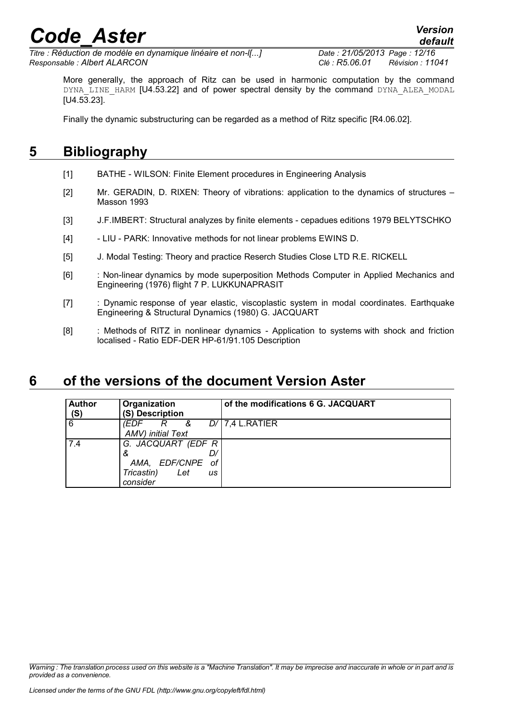*Titre : Réduction de modèle en dynamique linéaire et non-l[...] Date : 21/05/2013 Page : 12/16 Responsable : Albert ALARCON Clé : R5.06.01 Révision : 11041*

More generally, the approach of Ritz can be used in harmonic computation by the command DYNA LINE HARM [U4.53.22] and of power spectral density by the command DYNA ALEA MODAL [U4.53.23].

Finally the dynamic substructuring can be regarded as a method of Ritz specific [R4.06.02].

### **5 Bibliography**

- <span id="page-11-1"></span>[1] BATHE - WILSON: Finite Element procedures in Engineering Analysis
- [2] Mr. GERADIN, D. RIXEN: Theory of vibrations: application to the dynamics of structures Masson 1993
- [3] J.F.IMBERT: Structural analyzes by finite elements cepadues editions 1979 BELYTSCHKO
- [4] LIU PARK: Innovative methods for not linear problems EWINS D.
- [5] J. Modal Testing: Theory and practice Reserch Studies Close LTD R.E. RICKELL
- [6] : Non-linear dynamics by mode superposition Methods Computer in Applied Mechanics and Engineering (1976) flight 7 P. LUKKUNAPRASIT
- [7] : Dynamic response of year elastic, viscoplastic system in modal coordinates. Earthquake Engineering & Structural Dynamics (1980) G. JACQUART
- [8] : Methods of RITZ in nonlinear dynamics Application to systems with shock and friction localised - Ratio EDF-DER HP-61/91.105 Description

### **6 of the versions of the document Version Aster**

<span id="page-11-0"></span>

| <b>Author</b><br>(S) | Organization<br>(S) Description                                                       | of the modifications 6 G. JACQUART |  |  |
|----------------------|---------------------------------------------------------------------------------------|------------------------------------|--|--|
| 6                    | 'EDF<br>&<br>R<br>AMV) initial Text                                                   | $D/$ 7,4 L.RATIER                  |  |  |
| 7.4                  | G. JACQUART (EDF R<br>&<br>AMA, EDF/CNPE<br>оf<br>Tricastin)<br>Let<br>us<br>consider |                                    |  |  |

*Warning : The translation process used on this website is a "Machine Translation". It may be imprecise and inaccurate in whole or in part and is provided as a convenience.*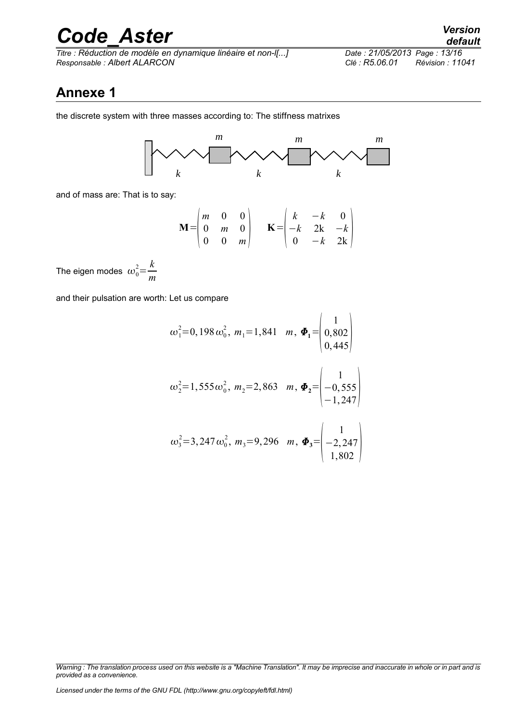*Titre : Réduction de modèle en dynamique linéaire et non-l[...] Date : 21/05/2013 Page : 13/16 Responsable : Albert ALARCON Clé : R5.06.01 Révision : 11041*

### **Annexe 1**

the discrete system with three masses according to: The stiffness matrixes



and of mass are: That is to say:

$$
\mathbf{M} = \begin{pmatrix} m & 0 & 0 \\ 0 & m & 0 \\ 0 & 0 & m \end{pmatrix} \qquad \mathbf{K} = \begin{pmatrix} k & -k & 0 \\ -k & 2k & -k \\ 0 & -k & 2k \end{pmatrix}
$$

The eigen modes  $\omega_0^2 = \frac{k}{m}$ *m*

and their pulsation are worth: Let us compare

$$
\omega_1^2 = 0,198 \omega_0^2, m_1 = 1,841 \quad m, \ \Phi_1 = \begin{pmatrix} 1 \\ 0,802 \\ 0,445 \end{pmatrix}
$$

$$
\omega_2^2=1,555\omega_0^2, m_2=2,863
$$
  $m, \Phi_2=\begin{pmatrix} 1\\ -0,555\\ -1,247 \end{pmatrix}$ 

$$
\omega_3^2 = 3,247 \omega_0^2, m_3 = 9,296 \quad m, \quad \Phi_3 = \begin{pmatrix} 1 \\ -2,247 \\ 1,802 \end{pmatrix}
$$

*Warning : The translation process used on this website is a "Machine Translation". It may be imprecise and inaccurate in whole or in part and is provided as a convenience.*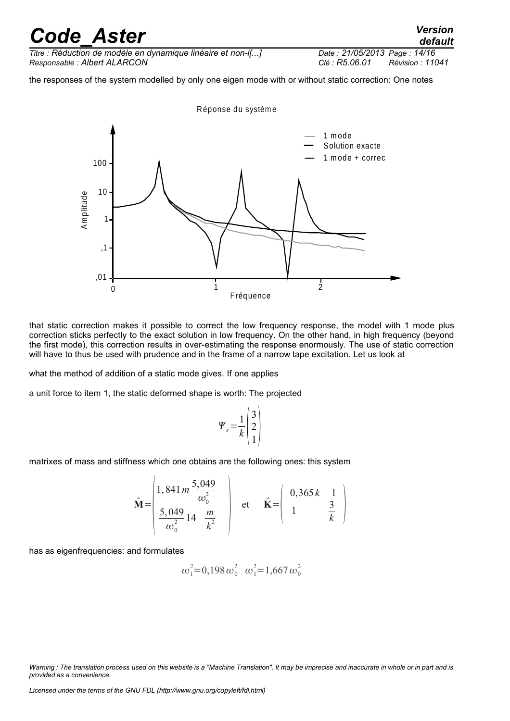*Titre : Réduction de modèle en dynamique linéaire et non-l[...] Date : 21/05/2013 Page : 14/16 Responsable : Albert ALARCON Clé : R5.06.01 Révision : 11041*

the responses of the system modelled by only one eigen mode with or without static correction: One notes



that static correction makes it possible to correct the low frequency response, the model with 1 mode plus correction sticks perfectly to the exact solution in low frequency. On the other hand, in high frequency (beyond the first mode), this correction results in over-estimating the response enormously. The use of static correction will have to thus be used with prudence and in the frame of a narrow tape excitation. Let us look at

what the method of addition of a static mode gives. If one applies

a unit force to item 1, the static deformed shape is worth: The projected

$$
\Psi_s = \frac{1}{k} \begin{pmatrix} 3 \\ 2 \\ 1 \end{pmatrix}
$$

matrixes of mass and stiffness which one obtains are the following ones: this system

$$
\hat{\mathbf{M}} = \begin{pmatrix} 1,841 \, m \frac{5,049}{\omega_0^2} \\ \frac{5,049}{\omega_0^2} 14 \, \frac{m}{k^2} \end{pmatrix} \quad \text{et} \quad \hat{\mathbf{K}} = \begin{pmatrix} 0,365 \, k & 1 \\ 1 & \frac{3}{k} \end{pmatrix}
$$

has as eigenfrequencies: and formulates

$$
\omega_1^2=0,198\,\omega_0^2\quad \omega_1^2=1,667\,\omega_0^2
$$

*Licensed under the terms of the GNU FDL (http://www.gnu.org/copyleft/fdl.html)*

*Warning : The translation process used on this website is a "Machine Translation". It may be imprecise and inaccurate in whole or in part and is provided as a convenience.*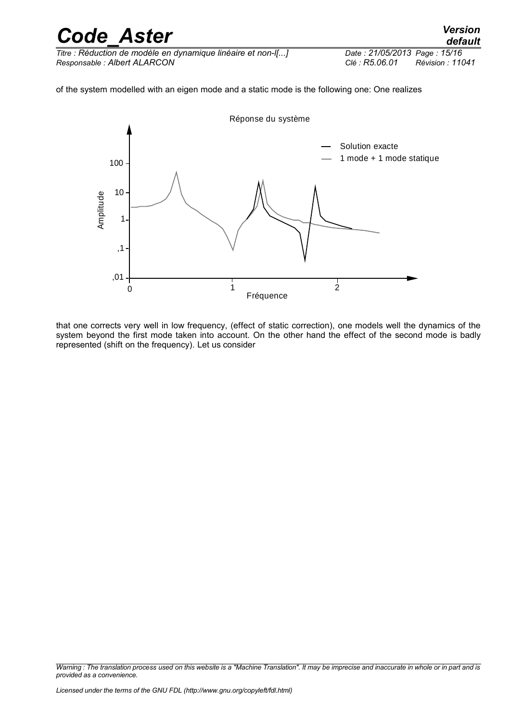| <b>Code Aster</b>                                            | <b>Version</b><br>default          |
|--------------------------------------------------------------|------------------------------------|
| Titre : Réduction de modèle en dynamique linéaire et non-I[] | Date: 21/05/2013 Page: 15/16       |
| Responsable: Albert ALARCON                                  | Révision : 11041<br>Clé : R5.06.01 |
|                                                              |                                    |

of the system modelled with an eigen mode and a static mode is the following one: One realizes



that one corrects very well in low frequency, (effect of static correction), one models well the dynamics of the system beyond the first mode taken into account. On the other hand the effect of the second mode is badly represented (shift on the frequency). Let us consider

*Warning : The translation process used on this website is a "Machine Translation". It may be imprecise and inaccurate in whole or in part and is provided as a convenience.*